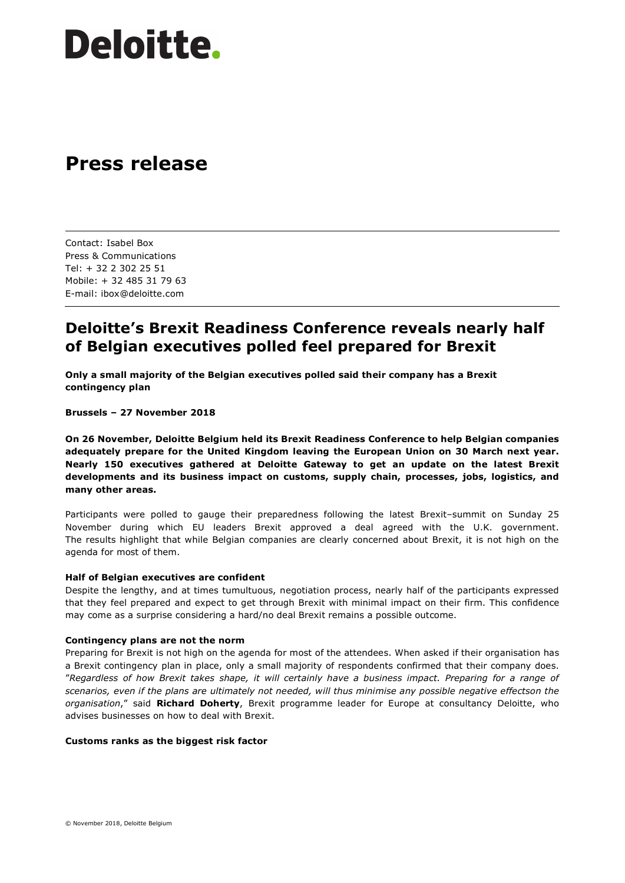# **Deloitte.**

## **Press release**

Contact: Isabel Box Press & Communications Tel: + 32 2 302 25 51 Mobile: + 32 485 31 79 63 E-mail: ibox@deloitte.com

### **Deloitte's Brexit Readiness Conference reveals nearly half of Belgian executives polled feel prepared for Brexit**

**Only a small majority of the Belgian executives polled said their company has a Brexit contingency plan**

**Brussels – 27 November 2018**

**On 26 November, Deloitte Belgium held its Brexit Readiness Conference to help Belgian companies adequately prepare for the United Kingdom leaving the European Union on 30 March next year. Nearly 150 executives gathered at Deloitte Gateway to get an update on the latest Brexit developments and its business impact on customs, supply chain, processes, jobs, logistics, and many other areas.** 

Participants were polled to gauge their preparedness following the latest Brexit–summit on Sunday 25 November during which EU leaders Brexit approved a deal agreed with the U.K. government. The results highlight that while Belgian companies are clearly concerned about Brexit, it is not high on the agenda for most of them.

#### **Half of Belgian executives are confident**

Despite the lengthy, and at times tumultuous, negotiation process, nearly half of the participants expressed that they feel prepared and expect to get through Brexit with minimal impact on their firm. This confidence may come as a surprise considering a hard/no deal Brexit remains a possible outcome.

#### **Contingency plans are not the norm**

Preparing for Brexit is not high on the agenda for most of the attendees. When asked if their organisation has a Brexit contingency plan in place, only a small majority of respondents confirmed that their company does. "*Regardless of how Brexit takes shape, it will certainly have a business impact. Preparing for a range of scenarios, even if the plans are ultimately not needed, will thus minimise any possible negative effectson the organisation*," said **Richard Doherty**, Brexit programme leader for Europe at consultancy Deloitte, who advises businesses on how to deal with Brexit.

#### **Customs ranks as the biggest risk factor**